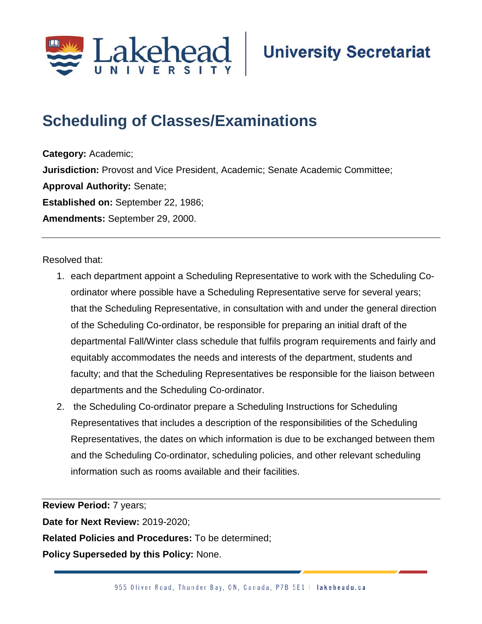

## **Scheduling of Classes/Examinations;**

**Category:** Academic; **Jurisdiction:** Provost and Vice President, Academic; Senate Academic Committee; **Approval Authority:** Senate; **Established on:** September 22, 1986; **Amendments:** September 29, 2000.

Resolved that:

- 1. each department appoint a Scheduling Representative to work with the Scheduling Coordinator where possible have a Scheduling Representative serve for several years; that the Scheduling Representative, in consultation with and under the general direction of the Scheduling Co-ordinator, be responsible for preparing an initial draft of the departmental Fall/Winter class schedule that fulfils program requirements and fairly and equitably accommodates the needs and interests of the department, students and faculty; and that the Scheduling Representatives be responsible for the liaison between departments and the Scheduling Co-ordinator.
- 2. the Scheduling Co-ordinator prepare a Scheduling Instructions for Scheduling Representatives that includes a description of the responsibilities of the Scheduling Representatives, the dates on which information is due to be exchanged between them and the Scheduling Co-ordinator, scheduling policies, and other relevant scheduling information such as rooms available and their facilities.

**Review Period:** 7 years;

**Date for Next Review:** 2019-2020;

**Related Policies and Procedures:** To be determined;

**Policy Superseded by this Policy:** None.